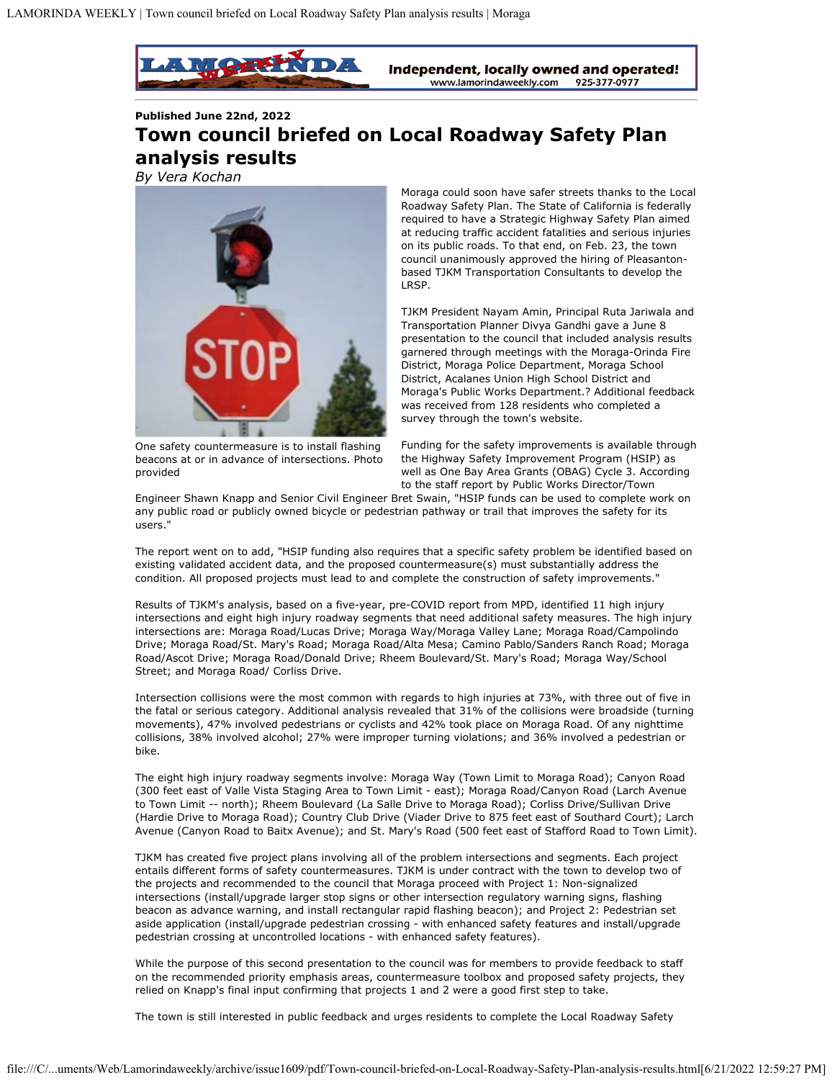

**Published June 22nd, 2022**

## **Town council briefed on Local Roadway Safety Plan analysis results**

*By Vera Kochan*



Moraga could soon have safer streets thanks to the Local Roadway Safety Plan. The State of California is federally required to have a Strategic Highway Safety Plan aimed at reducing traffic accident fatalities and serious injuries on its public roads. To that end, on Feb. 23, the town council unanimously approved the hiring of Pleasantonbased TJKM Transportation Consultants to develop the LRSP.

TJKM President Nayam Amin, Principal Ruta Jariwala and Transportation Planner Divya Gandhi gave a June 8 presentation to the council that included analysis results garnered through meetings with the Moraga-Orinda Fire District, Moraga Police Department, Moraga School District, Acalanes Union High School District and Moraga's Public Works Department.? Additional feedback was received from 128 residents who completed a survey through the town's website.

One safety countermeasure is to install flashing beacons at or in advance of intersections. Photo provided

Funding for the safety improvements is available through the Highway Safety Improvement Program (HSIP) as well as One Bay Area Grants (OBAG) Cycle 3. According to the staff report by Public Works Director/Town

Engineer Shawn Knapp and Senior Civil Engineer Bret Swain, "HSIP funds can be used to complete work on any public road or publicly owned bicycle or pedestrian pathway or trail that improves the safety for its users."

The report went on to add, "HSIP funding also requires that a specific safety problem be identified based on existing validated accident data, and the proposed countermeasure(s) must substantially address the condition. All proposed projects must lead to and complete the construction of safety improvements."

Results of TJKM's analysis, based on a five-year, pre-COVID report from MPD, identified 11 high injury intersections and eight high injury roadway segments that need additional safety measures. The high injury intersections are: Moraga Road/Lucas Drive; Moraga Way/Moraga Valley Lane; Moraga Road/Campolindo Drive; Moraga Road/St. Mary's Road; Moraga Road/Alta Mesa; Camino Pablo/Sanders Ranch Road; Moraga Road/Ascot Drive; Moraga Road/Donald Drive; Rheem Boulevard/St. Mary's Road; Moraga Way/School Street; and Moraga Road/ Corliss Drive.

Intersection collisions were the most common with regards to high injuries at 73%, with three out of five in the fatal or serious category. Additional analysis revealed that 31% of the collisions were broadside (turning movements), 47% involved pedestrians or cyclists and 42% took place on Moraga Road. Of any nighttime collisions, 38% involved alcohol; 27% were improper turning violations; and 36% involved a pedestrian or bike.

The eight high injury roadway segments involve: Moraga Way (Town Limit to Moraga Road); Canyon Road (300 feet east of Valle Vista Staging Area to Town Limit - east); Moraga Road/Canyon Road (Larch Avenue to Town Limit -- north); Rheem Boulevard (La Salle Drive to Moraga Road); Corliss Drive/Sullivan Drive (Hardie Drive to Moraga Road); Country Club Drive (Viader Drive to 875 feet east of Southard Court); Larch Avenue (Canyon Road to Baitx Avenue); and St. Mary's Road (500 feet east of Stafford Road to Town Limit).

TJKM has created five project plans involving all of the problem intersections and segments. Each project entails different forms of safety countermeasures. TJKM is under contract with the town to develop two of the projects and recommended to the council that Moraga proceed with Project 1: Non-signalized intersections (install/upgrade larger stop signs or other intersection regulatory warning signs, flashing beacon as advance warning, and install rectangular rapid flashing beacon); and Project 2: Pedestrian set aside application (install/upgrade pedestrian crossing - with enhanced safety features and install/upgrade pedestrian crossing at uncontrolled locations - with enhanced safety features).

While the purpose of this second presentation to the council was for members to provide feedback to staff on the recommended priority emphasis areas, countermeasure toolbox and proposed safety projects, they relied on Knapp's final input confirming that projects 1 and 2 were a good first step to take.

The town is still interested in public feedback and urges residents to complete the Local Roadway Safety